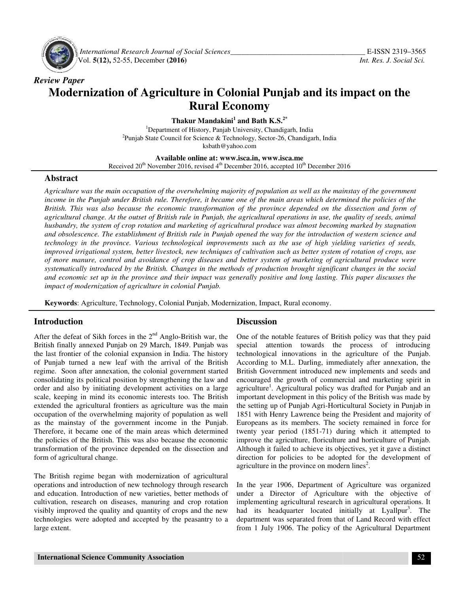

 *International Research Journal Journal of Social Sciences\_\_\_\_\_\_\_\_\_\_\_\_\_\_\_\_\_\_\_\_\_\_\_\_\_\_\_\_\_\_\_\_\_\_\_* Vol. **5(12),** 52-55, December **(2016)** 

# *Review Paper*  **Modernization of Agriculture in Colonial Punjab and its impact on the Rural Economy**

**Thakur Mandakini<sup>1</sup> and Bath K.S.2\*** 

<sup>1</sup>Department of History, Panjab University, Chandigarh, India <sup>2</sup>Punjab State Council for Science & Technology, Sector-26, Chandigarh, India ksbath@yahoo.com

**Available Available online at: www.isca.in, www.isca.me**  Received  $20^{th}$  November 2016, revised  $4^{th}$  December 2016, accepted  $10^{th}$  December 2016

#### **Abstract**

*Agriculture was the main occupation of the overwhelming majority of population as well as the mainstay of the government income in the Punjab under British rule. Therefore, it became one of the main areas which determined the policies of the British. This was also because the economic transformation of the province depended on the dissection and form of agricultural change. At the outset of British rule in Punjab, the agricultural operations in use, the quality of seeds, anima husbandry, the system of crop rotation and marketing of agricultural produce was almost becoming marked by stagnation and obsolescence. The establishment of British rule in Punjab opened the way for the introduction of western science and*  technology in the province. Various technological improvements such as the use of high yielding varieties of seeds, *improved irrigational system, better livestock, new techniques of cultivation such as better system of rotation of crops, use* improved irrigational system, better livestock, new techniques of cultivation such as better system of rotation of crops, use<br>of more manure, control and avoidance of crop diseases and better system of marketing of agricul systematically introduced by the British. Changes in the methods of production brought significant changes in the social<br>and economic set up in the province and their impact was generally positive and long lasting. This pa and economic set up in the province and their impact was generally positive and long lasting. This paper discusses the *impact of modernization of agriculture in colonial Punjab.* e was the main occupation of the overwhelming majority of population as well as the mainstay of the government<br>the Punjab under British rule. Therefore, it became one of the main areas which determined the policies of the<br> *animal cal improvements such as the use of high yielding varia*<br>*w techniques of cultivation such as better system of rotation*<br>*o diseases and better system of marketing of agricultural*<br>*s in the methods of production brought* 

Keywords: Agriculture, Technology, Colonial Punjab, Modernization, Impact, Rural economy.

## **Introduction**

After the defeat of Sikh forces in the  $2<sup>nd</sup>$  Anglo-British war, the British finally annexed Punjab on 29 March, 1849. Punjab was the last frontier of the colonial expansion in India. The history of Punjab turned a new leaf with the arrival of the British regime. Soon after annexation, the colonial government started consolidating its political position by strengthening the law and order and also by initiating development activities on a large scale, keeping in mind its economic interests too. The British extended the agricultural frontiers as agriculture was the main occupation of the overwhelming majority of population as well as the mainstay of the government income in the Punjab. Therefore, it became one of the main areas which determined the policies of the British. This was also because the economic transformation of the province depended on the dissection and form of agricultural change. **Example 12016**<br> **(2016)**<br> **Cancel Contract Contract Contract Contract Contract Conneil for Available (November 2016)<br>** *(on of the over* **the rule. There the economic of British rule and man ent of British constrained and m** British finally annexed Punjab on 29 March, 1849. Punjab was<br>the last frontier of the colonial expansion in India. The history<br>of Punjab turned a new leaf with the arrival of the British<br>regime. Soon after annexation, the **Discussion**<br> **Discussion**<br>
Sikh forces in the  $2<sup>nd</sup>$  Anglo-British war, the One of the noxed Punjab on 29 March, 1849. Punjab was special atter the colonial expansion in India. The history technological a new leaf wi

The British regime began with modernization of agricultural operations and introduction of new technology through re and education. Introduction of new varieties, better methods of cultivation, research on diseases, manuring and crop rotation visibly improved the quality and quantity of crops and the new technologies were adopted and accepted by the peasantry to a large extent.

One of the notable features of British policy was that they paid special attention towards the process of introducing technological innovations in the agriculture of the Punjab. According to M.L. Darling, immediately after annexation, the British Government introduced new implements and seeds and encouraged the growth of commercial and marketing spirit in agriculture<sup>1</sup>. Agricultural policy was drafted for Punjab and an important development in this policy of the British was made by the setting up of Punjab Agri-Horticultural Society in Punjab in 1851 with Henry Lawrence being the President and majority of Europeans as its members. The society remained in force for twenty year period (1851-71) during which it attempted to improve the agriculture, floriculture and horticulture of Punjab. Although it failed to achieve its objectives, yet it gave a distinct direction for policies to be adopted for the development of agriculture in the province on modern lines<sup>2</sup>. of the notable features of British policy was that they paid<br>al attention towards the process of introducing<br>nological innovations in the agriculture of the Punjab.<br>ording to M.L. Darling, immediately after annexation, the of the growth of commercial and marketing spirit in  $e^1$ . Agricultural policy was drafted for Punjab and and development in this policy of the British was made by the policy of punjab Agri-Horticultural Society in Punjab

In the year 1906, Department of Agriculture was organized under a Director of Agriculture with the objective of implementing agricultural research in agricultural operations. It had its headquarter located initially at Lyallpur . The department was separated from that of Land Record with effect from 1 July 1906. The policy of the Agricultural Department In the year 1906, Department of Agriculture was organized under a Director of Agriculture with the objective implementing agricultural research in agricultural operations. had its headquarter located initially at Lyallpur<sup></sup>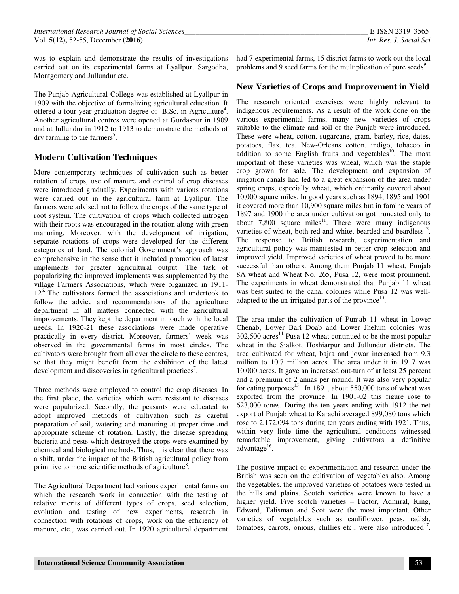was to explain and demonstrate the results of investigations carried out on its experimental farms at Lyallpur, Sargodha, Montgomery and Jullundur etc.

The Punjab Agricultural College was established at Lyallpur in 1909 with the objective of formalizing agricultural education. It offered a four year graduation degree of B.Sc. in Agriculture<sup>4</sup>. Another agricultural centres were opened at Gurdaspur in 1909 and at Jullundur in 1912 to 1913 to demonstrate the methods of dry farming to the farmers<sup>5</sup>.

## **Modern Cultivation Techniques**

More contemporary techniques of cultivation such as better rotation of crops, use of manure and control of crop diseases were introduced gradually. Experiments with various rotations were carried out in the agricultural farm at Lyallpur. The farmers were advised not to follow the crops of the same type of root system. The cultivation of crops which collected nitrogen with their roots was encouraged in the rotation along with green manuring. Moreover, with the development of irrigation, separate rotations of crops were developed for the different categories of land. The colonial Government's approach was comprehensive in the sense that it included promotion of latest implements for greater agricultural output. The task of popularizing the improved implements was supplemented by the village Farmers Associations, which were organized in 1911-  $12<sup>6</sup>$ . The cultivators formed the associations and undertook to follow the advice and recommendations of the agriculture department in all matters connected with the agricultural improvements. They kept the department in touch with the local needs. In 1920-21 these associations were made operative practically in every district. Moreover, farmers' week was observed in the governmental farms in most circles. The cultivators were brought from all over the circle to these centres, so that they might benefit from the exhibition of the latest development and discoveries in agricultural practices<sup>7</sup>.

Three methods were employed to control the crop diseases. In the first place, the varieties which were resistant to diseases were popularized. Secondly, the peasants were educated to adopt improved methods of cultivation such as careful preparation of soil, watering and manuring at proper time and appropriate scheme of rotation. Lastly, the disease spreading bacteria and pests which destroyed the crops were examined by chemical and biological methods. Thus, it is clear that there was a shift, under the impact of the British agricultural policy from primitive to more scientific methods of agriculture<sup>8</sup>.

The Agricultural Department had various experimental farms on which the research work in connection with the testing of relative merits of different types of crops, seed selection, evolution and testing of new experiments, research in connection with rotations of crops, work on the efficiency of manure, etc., was carried out. In 1920 agricultural department

had 7 experimental farms, 15 district farms to work out the local problems and 9 seed farms for the multiplication of pure seeds<sup>9</sup>.

## **New Varieties of Crops and Improvement in Yield**

The research oriented exercises were highly relevant to indigenous requirements. As a result of the work done on the various experimental farms, many new varieties of crops suitable to the climate and soil of the Punjab were introduced. These were wheat, cotton, sugarcane, gram, barley, rice, dates, potatoes, flax, tea, New-Orleans cotton, indigo, tobacco in addition to some English fruits and vegetables<sup>10</sup>. The most important of these varieties was wheat, which was the staple crop grown for sale. The development and expansion of irrigation canals had led to a great expansion of the area under spring crops, especially wheat, which ordinarily covered about 10,000 square miles. In good years such as 1894, 1895 and 1901 it covered more than 10,900 square miles but in famine years of 1897 and 1900 the area under cultivation got truncated only to about  $7,800$  square miles<sup>11</sup>. There were many indigenous varieties of wheat, both red and white, bearded and beardless<sup>12</sup>. The response to British research, experimentation and agricultural policy was manifested in better crop selection and improved yield. Improved varieties of wheat proved to be more successful than others. Among them Punjab 11 wheat, Punjab 8A wheat and Wheat No. 265, Pusa 12, were most prominent. The experiments in wheat demonstrated that Punjab 11 wheat was best suited to the canal colonies while Pusa 12 was welladapted to the un-irrigated parts of the province $^{13}$ .

The area under the cultivation of Punjab 11 wheat in Lower Chenab, Lower Bari Doab and Lower Jhelum colonies was  $302,500$  acres<sup>14.</sup> Pusa 12 wheat continued to be the most popular wheat in the Sialkot, Hoshiarpur and Jullundur districts. The area cultivated for wheat, bajra and jowar increased from 9.3 million to 10.7 million acres. The area under it in 1917 was 10,000 acres. It gave an increased out-turn of at least 25 percent and a premium of 2 annas per maund. It was also very popular for eating purposes<sup>15</sup>. In 1891, about 550,000 tons of wheat was exported from the province. In 1901-02 this figure rose to 623,000 tones. During the ten years ending with 1912 the net export of Punjab wheat to Karachi averaged 899,080 tons which rose to 2,172,094 tons during ten years ending with 1921. Thus, within very little time the agricultural conditions witnessed remarkable improvement, giving cultivators a definitive advantage<sup>16</sup>.

The positive impact of experimentation and research under the British was seen on the cultivation of vegetables also. Among the vegetables, the improved varieties of potatoes were tested in the hills and plains. Scotch varieties were known to have a higher yield. Five scotch varieties – Factor, Admiral, King, Edward, Talisman and Scot were the most important. Other varieties of vegetables such as cauliflower, peas, radish, tomatoes, carrots, onions, chillies etc., were also introduced $1^7$ .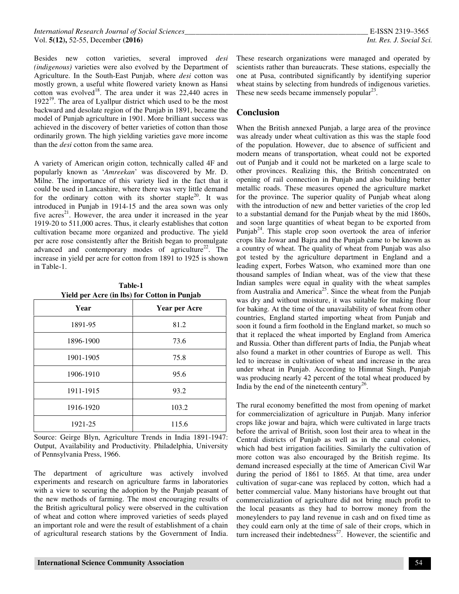Besides new cotton varieties, several improved *desi (indigenous)* varieties were also evolved by the Department of Agriculture. In the South-East Punjab, where *desi* cotton was mostly grown, a useful white flowered variety known as Hansi cotton was evolved $^{18}$ . The area under it was 22,440 acres in  $1922<sup>19</sup>$ . The area of Lyallpur district which used to be the most backward and desolate region of the Punjab in 1891, became the model of Punjab agriculture in 1901. More brilliant success was achieved in the discovery of better varieties of cotton than those ordinarily grown. The high yielding varieties gave more income than the *desi* cotton from the same area.

A variety of American origin cotton, technically called 4F and popularly known as '*Amreekan*' was discovered by Mr. D. Milne. The importance of this variety lied in the fact that it could be used in Lancashire, where there was very little demand for the ordinary cotton with its shorter staple<sup>20</sup>. It was introduced in Punjab in 1914-15 and the area sown was only five acres<sup>21</sup>. However, the area under it increased in the year 1919-20 to 511,000 acres. Thus, it clearly establishes that cotton cultivation became more organized and productive. The yield per acre rose consistently after the British began to promulgate advanced and contemporary modes of agriculture<sup>22</sup>. The increase in yield per acre for cotton from 1891 to 1925 is shown in Table-1.

**Table-1 Yield per Acre (in lbs) for Cotton in Punjab**

| Year      | <b>Year per Acre</b> |
|-----------|----------------------|
| 1891-95   | 81.2                 |
| 1896-1900 | 73.6                 |
| 1901-1905 | 75.8                 |
| 1906-1910 | 95.6                 |
| 1911-1915 | 93.2                 |
| 1916-1920 | 103.2                |
| 1921-25   | 115.6                |

Source: Geirge Blyn, Agriculture Trends in India 1891-1947: Output, Availability and Productivity. Philadelphia, University of Pennsylvania Press, 1966.

The department of agriculture was actively involved experiments and research on agriculture farms in laboratories with a view to securing the adoption by the Punjab peasant of the new methods of farming. The most encouraging results of the British agricultural policy were observed in the cultivation of wheat and cotton where improved varieties of seeds played an important role and were the result of establishment of a chain of agricultural research stations by the Government of India. These research organizations were managed and operated by scientists rather than bureaucrats. These stations, especially the one at Pusa, contributed significantly by identifying superior wheat stains by selecting from hundreds of indigenous varieties. These new seeds became immensely popular $^{23}$ .

## **Conclusion**

When the British annexed Punjab, a large area of the province was already under wheat cultivation as this was the staple food of the population. However, due to absence of sufficient and modern means of transportation, wheat could not be exported out of Punjab and it could not be marketed on a large scale to other provinces. Realizing this, the British concentrated on opening of rail connection in Punjab and also building better metallic roads. These measures opened the agriculture market for the province. The superior quality of Punjab wheat along with the introduction of new and better varieties of the crop led to a substantial demand for the Punjab wheat by the mid 1860s, and soon large quantities of wheat began to be exported from Punjab<sup>24</sup>. This staple crop soon overtook the area of inferior crops like Jowar and Bajra and the Punjab came to be known as a country of wheat. The quality of wheat from Punjab was also got tested by the agriculture department in England and a leading expert, Forbes Watson, who examined more than one thousand samples of Indian wheat, was of the view that these Indian samples were equal in quality with the wheat samples from Australia and America<sup>25</sup>. Since the wheat from the Punjab was dry and without moisture, it was suitable for making flour for baking. At the time of the unavailability of wheat from other countries, England started importing wheat from Punjab and soon it found a firm foothold in the England market, so much so that it replaced the wheat imported by England from America and Russia. Other than different parts of India, the Punjab wheat also found a market in other countries of Europe as well. This led to increase in cultivation of wheat and increase in the area under wheat in Punjab. According to Himmat Singh, Punjab was producing nearly 42 percent of the total wheat produced by India by the end of the nineteenth century<sup>26</sup>.

The rural economy benefitted the most from opening of market for commercialization of agriculture in Punjab. Many inferior crops like jowar and bajra, which were cultivated in large tracts before the arrival of British, soon lost their area to wheat in the Central districts of Punjab as well as in the canal colonies, which had best irrigation facilities. Similarly the cultivation of more cotton was also encouraged by the British regime. Its demand increased especially at the time of American Civil War during the period of 1861 to 1865. At that time, area under cultivation of sugar-cane was replaced by cotton, which had a better commercial value. Many historians have brought out that commercialization of agriculture did not bring much profit to the local peasants as they had to borrow money from the moneylenders to pay land revenue in cash and on fixed time as they could earn only at the time of sale of their crops, which in turn increased their indebtedness $^{27}$ . However, the scientific and